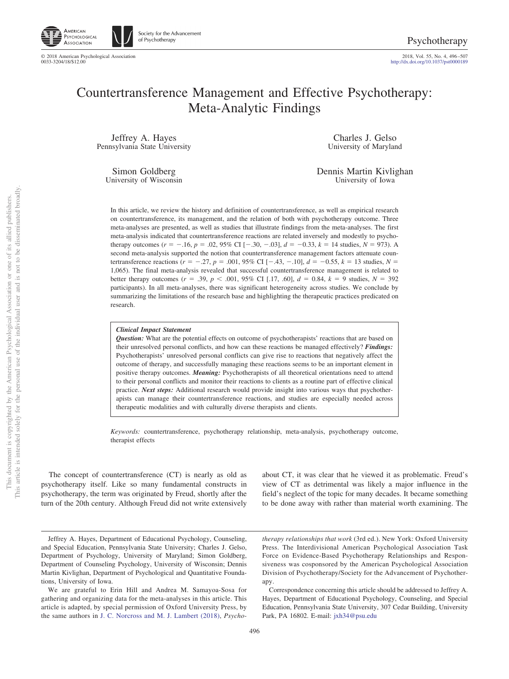

Society for the Advancement of Psychotherapy

http://dx.doi.org[/10.1037/pst0000189](http://dx.doi.org/10.1037/pst0000189)

# Countertransference Management and Effective Psychotherapy: Meta-Analytic Findings

Jeffrey A. Hayes Pennsylvania State University

> Simon Goldberg University of Wisconsin

Charles J. Gelso University of Maryland

Dennis Martin Kivlighan University of Iowa

In this article, we review the history and definition of countertransference, as well as empirical research on countertransference, its management, and the relation of both with psychotherapy outcome. Three meta-analyses are presented, as well as studies that illustrate findings from the meta-analyses. The first meta-analysis indicated that countertransference reactions are related inversely and modestly to psychotherapy outcomes ( $r = -.16$ ,  $p = .02$ , 95% CI [ $-.30, -.03$ ],  $d = -0.33$ ,  $k = 14$  studies,  $N = 973$ ). A second meta-analysis supported the notion that countertransference management factors attenuate countertransference reactions ( $r = -.27$ ,  $p = .001$ , 95% CI [ $-.43$ ,  $-.10$ ],  $d = -0.55$ ,  $k = 13$  studies,  $N =$ 1,065). The final meta-analysis revealed that successful countertransference management is related to better therapy outcomes ( $r = .39$ ,  $p < .001$ , 95% CI [.17, .60],  $d = 0.84$ ,  $k = 9$  studies,  $N = 392$ participants). In all meta-analyses, there was significant heterogeneity across studies. We conclude by summarizing the limitations of the research base and highlighting the therapeutic practices predicated on research.

#### *Clinical Impact Statement*

*Question:* What are the potential effects on outcome of psychotherapists' reactions that are based on their unresolved personal conflicts, and how can these reactions be managed effectively? *Findings:* Psychotherapists' unresolved personal conflicts can give rise to reactions that negatively affect the outcome of therapy, and successfully managing these reactions seems to be an important element in positive therapy outcomes. *Meaning:* Psychotherapists of all theoretical orientations need to attend to their personal conflicts and monitor their reactions to clients as a routine part of effective clinical practice. *Next steps:* Additional research would provide insight into various ways that psychotherapists can manage their countertransference reactions, and studies are especially needed across therapeutic modalities and with culturally diverse therapists and clients.

*Keywords:* countertransference, psychotherapy relationship, meta-analysis, psychotherapy outcome, therapist effects

The concept of countertransference (CT) is nearly as old as psychotherapy itself. Like so many fundamental constructs in psychotherapy, the term was originated by Freud, shortly after the turn of the 20th century. Although Freud did not write extensively about CT, it was clear that he viewed it as problematic. Freud's view of CT as detrimental was likely a major influence in the field's neglect of the topic for many decades. It became something to be done away with rather than material worth examining. The

*therapy relationships that work* (3rd ed.). New York: Oxford University Press. The Interdivisional American Psychological Association Task Force on Evidence-Based Psychotherapy Relationships and Responsiveness was cosponsored by the American Psychological Association Division of Psychotherapy/Society for the Advancement of Psychotherapy.

Correspondence concerning this article should be addressed to Jeffrey A. Hayes, Department of Educational Psychology, Counseling, and Special Education, Pennsylvania State University, 307 Cedar Building, University Park, PA 16802. E-mail: [jxh34@psu.edu](mailto:jxh34@psu.edu)

Jeffrey A. Hayes, Department of Educational Psychology, Counseling, and Special Education, Pennsylvania State University; Charles J. Gelso, Department of Psychology, University of Maryland; Simon Goldberg, Department of Counseling Psychology, University of Wisconsin; Dennis Martin Kivlighan, Department of Psychological and Quantitative Foundations, University of Iowa.

We are grateful to Erin Hill and Andrea M. Samayoa-Sosa for gathering and organizing data for the meta-analyses in this article. This article is adapted, by special permission of Oxford University Press, by the same authors in [J. C. Norcross and M. J. Lambert \(2018\),](#page-11-0) *Psycho-*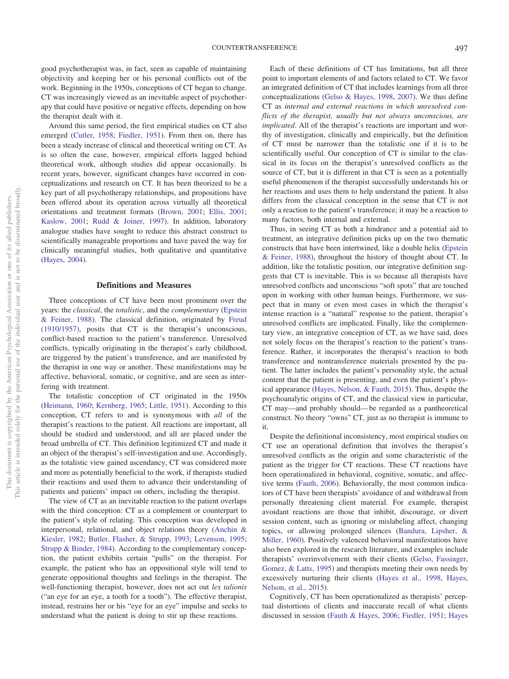good psychotherapist was, in fact, seen as capable of maintaining objectivity and keeping her or his personal conflicts out of the work. Beginning in the 1950s, conceptions of CT began to change. CT was increasingly viewed as an inevitable aspect of psychotherapy that could have positive or negative effects, depending on how the therapist dealt with it.

Around this same period, the first empirical studies on CT also emerged [\(Cutler, 1958;](#page-9-0) [Fiedler, 1951\)](#page-10-0). From then on, there has been a steady increase of clinical and theoretical writing on CT. As is so often the case, however, empirical efforts lagged behind theoretical work, although studies did appear occasionally. In recent years, however, significant changes have occurred in conceptualizations and research on CT. It has been theorized to be a key part of all psychotherapy relationships, and propositions have been offered about its operation across virtually all theoretical orientations and treatment formats [\(Brown, 2001;](#page-9-1) [Ellis, 2001;](#page-9-2) [Kaslow, 2001;](#page-10-1) [Rudd & Joiner, 1997\)](#page-11-1). In addition, laboratory analogue studies have sought to reduce this abstract construct to scientifically manageable proportions and have paved the way for clinically meaningful studies, both qualitative and quantitative [\(Hayes, 2004\)](#page-10-2).

# **Definitions and Measures**

Three conceptions of CT have been most prominent over the years: the *classical*, the *totalistic*, and the *complementary* [\(Epstein](#page-9-3) [& Feiner, 1988\)](#page-9-3). The classical definition, originated by [Freud](#page-10-3) [\(1910/1957\),](#page-10-3) posits that CT is the therapist's unconscious, conflict-based reaction to the patient's transference. Unresolved conflicts, typically originating in the therapist's early childhood, are triggered by the patient's transference, and are manifested by the therapist in one way or another. These manifestations may be affective, behavioral, somatic, or cognitive, and are seen as interfering with treatment.

The totalistic conception of CT originated in the 1950s [\(Heimann, 1960;](#page-10-4) [Kernberg, 1965;](#page-10-5) [Little, 1951\)](#page-10-6). According to this conception, CT refers to and is synonymous with *all* of the therapist's reactions to the patient. All reactions are important, all should be studied and understood, and all are placed under the broad umbrella of CT. This definition legitimized CT and made it an object of the therapist's self-investigation and use. Accordingly, as the totalistic view gained ascendancy, CT was considered more and more as potentially beneficial to the work, if therapists studied their reactions and used them to advance their understanding of patients and patients' impact on others, including the therapist.

The view of CT as an inevitable reaction to the patient overlaps with the third conception: CT as a complement or counterpart to the patient's style of relating. This conception was developed in interpersonal, relational, and object relations theory [\(Anchin &](#page-9-4) [Kiesler, 1982;](#page-9-4) [Butler, Flasher, & Strupp, 1993;](#page-9-5) [Levenson, 1995;](#page-10-7) [Strupp & Binder, 1984\)](#page-11-2). According to the complementary conception, the patient exhibits certain "pulls" on the therapist. For example, the patient who has an oppositional style will tend to generate oppositional thoughts and feelings in the therapist. The well-functioning therapist, however, does not act out *lex talionis* ("an eye for an eye, a tooth for a tooth"). The effective therapist, instead, restrains her or his "eye for an eye" impulse and seeks to understand what the patient is doing to stir up these reactions.

Each of these definitions of CT has limitations, but all three point to important elements of and factors related to CT. We favor an integrated definition of CT that includes learnings from all three conceptualizations [\(Gelso & Hayes, 1998,](#page-10-8) [2007\)](#page-10-9). We thus define CT as *internal and external reactions in which unresolved conflicts of the therapist, usually but not always unconscious, are implicated*. All of the therapist's reactions are important and worthy of investigation, clinically and empirically, but the definition of CT must be narrower than the totalistic one if it is to be scientifically useful. Our conception of CT is similar to the classical in its focus on the therapist's unresolved conflicts as the source of CT, but it is different in that CT is seen as a potentially useful phenomenon if the therapist successfully understands his or her reactions and uses them to help understand the patient. It also differs from the classical conception in the sense that CT is not only a reaction to the patient's transference; it may be a reaction to many factors, both internal and external.

Thus, in seeing CT as both a hindrance and a potential aid to treatment, an integrative definition picks up on the two thematic constructs that have been intertwined, like a double helix [\(Epstein](#page-9-3) [& Feiner, 1988\)](#page-9-3), throughout the history of thought about CT. In addition, like the totalistic position, our integrative definition suggests that CT is inevitable. This is so because all therapists have unresolved conflicts and unconscious "soft spots" that are touched upon in working with other human beings. Furthermore, we suspect that in many or even most cases in which the therapist's intense reaction is a "natural" response to the patient, therapist's unresolved conflicts are implicated. Finally, like the complementary view, an integrative conception of CT, as we have said, does not solely focus on the therapist's reaction to the patient's transference. Rather, it incorporates the therapist's reaction to both transference and nontransference materials presented by the patient. The latter includes the patient's personality style, the actual content that the patient is presenting, and even the patient's physical appearance [\(Hayes, Nelson, & Fauth, 2015\)](#page-10-10). Thus, despite the psychoanalytic origins of CT, and the classical view in particular, CT may—and probably should— be regarded as a pantheoretical construct. No theory "owns" CT, just as no therapist is immune to it.

Despite the definitional inconsistency, most empirical studies on CT use an operational definition that involves the therapist's unresolved conflicts as the origin and some characteristic of the patient as the trigger for CT reactions. These CT reactions have been operationalized in behavioral, cognitive, somatic, and affective terms [\(Fauth, 2006\)](#page-9-6). Behaviorally, the most common indicators of CT have been therapists' avoidance of and withdrawal from personally threatening client material. For example, therapist avoidant reactions are those that inhibit, discourage, or divert session content, such as ignoring or mislabeling affect, changing topics, or allowing prolonged silences [\(Bandura, Lipsher, &](#page-9-7) [Miller, 1960\)](#page-9-7). Positively valenced behavioral manifestations have also been explored in the research literature, and examples include therapists' overinvolvement with their clients [\(Gelso, Fassinger,](#page-10-11) [Gomez, & Latts, 1995\)](#page-10-11) and therapists meeting their own needs by excessively nurturing their clients [\(Hayes et al., 1998,](#page-10-12) [Hayes,](#page-10-10) [Nelson, et al., 2015\)](#page-10-10).

Cognitively, CT has been operationalized as therapists' perceptual distortions of clients and inaccurate recall of what clients discussed in session [\(Fauth & Hayes, 2006;](#page-9-8) [Fiedler, 1951;](#page-10-0) [Hayes](#page-10-13)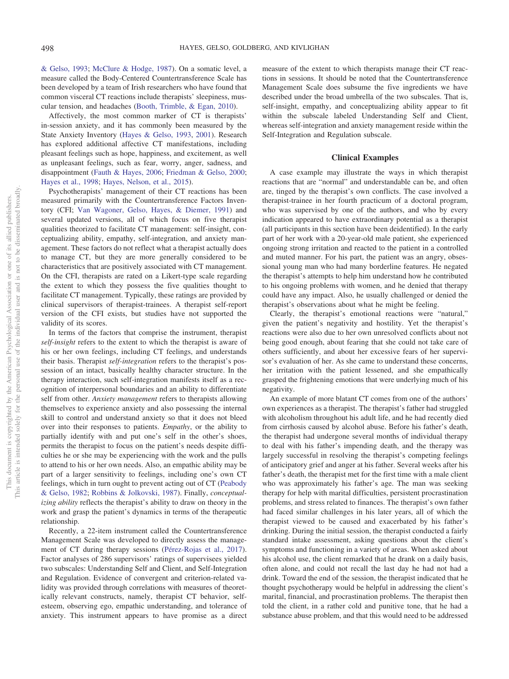[& Gelso, 1993;](#page-10-13) [McClure & Hodge, 1987\)](#page-11-3). On a somatic level, a measure called the Body-Centered Countertransference Scale has been developed by a team of Irish researchers who have found that common visceral CT reactions include therapists' sleepiness, muscular tension, and headaches [\(Booth, Trimble, & Egan, 2010\)](#page-9-9).

Affectively, the most common marker of CT is therapists' in-session anxiety, and it has commonly been measured by the State Anxiety Inventory [\(Hayes & Gelso, 1993,](#page-10-13) [2001\)](#page-10-14). Research has explored additional affective CT manifestations, including pleasant feelings such as hope, happiness, and excitement, as well as unpleasant feelings, such as fear, worry, anger, sadness, and disappointment [\(Fauth & Hayes, 2006;](#page-9-8) [Friedman & Gelso, 2000;](#page-10-15) [Hayes et al., 1998;](#page-10-12) [Hayes, Nelson, et al., 2015\)](#page-10-10).

Psychotherapists' management of their CT reactions has been measured primarily with the Countertransference Factors Inventory (CFI; [Van Wagoner, Gelso, Hayes, & Diemer, 1991\)](#page-11-4) and several updated versions, all of which focus on five therapist qualities theorized to facilitate CT management: self-insight, conceptualizing ability, empathy, self-integration, and anxiety management. These factors do not reflect what a therapist actually does to manage CT, but they are more generally considered to be characteristics that are positively associated with CT management. On the CFI, therapists are rated on a Likert-type scale regarding the extent to which they possess the five qualities thought to facilitate CT management. Typically, these ratings are provided by clinical supervisors of therapist-trainees. A therapist self-report version of the CFI exists, but studies have not supported the validity of its scores.

In terms of the factors that comprise the instrument, therapist *self-insight* refers to the extent to which the therapist is aware of his or her own feelings, including CT feelings, and understands their basis. Therapist *self-integration* refers to the therapist's possession of an intact, basically healthy character structure. In the therapy interaction, such self-integration manifests itself as a recognition of interpersonal boundaries and an ability to differentiate self from other. *Anxiety management* refers to therapists allowing themselves to experience anxiety and also possessing the internal skill to control and understand anxiety so that it does not bleed over into their responses to patients. *Empathy*, or the ability to partially identify with and put one's self in the other's shoes, permits the therapist to focus on the patient's needs despite difficulties he or she may be experiencing with the work and the pulls to attend to his or her own needs. Also, an empathic ability may be part of a larger sensitivity to feelings, including one's own CT feelings, which in turn ought to prevent acting out of CT [\(Peabody](#page-11-5) [& Gelso, 1982;](#page-11-5) [Robbins & Jolkovski, 1987\)](#page-11-6). Finally, *conceptualizing ability* reflects the therapist's ability to draw on theory in the work and grasp the patient's dynamics in terms of the therapeutic relationship.

Recently, a 22-item instrument called the Countertransference Management Scale was developed to directly assess the management of CT during therapy sessions [\(Pérez-Rojas et al., 2017\)](#page-11-7). Factor analyses of 286 supervisors' ratings of supervisees yielded two subscales: Understanding Self and Client, and Self-Integration and Regulation. Evidence of convergent and criterion-related validity was provided through correlations with measures of theoretically relevant constructs, namely, therapist CT behavior, selfesteem, observing ego, empathic understanding, and tolerance of anxiety. This instrument appears to have promise as a direct

measure of the extent to which therapists manage their CT reactions in sessions. It should be noted that the Countertransference Management Scale does subsume the five ingredients we have described under the broad umbrella of the two subscales. That is, self-insight, empathy, and conceptualizing ability appear to fit within the subscale labeled Understanding Self and Client, whereas self-integration and anxiety management reside within the Self-Integration and Regulation subscale.

#### **Clinical Examples**

A case example may illustrate the ways in which therapist reactions that are "normal" and understandable can be, and often are, tinged by the therapist's own conflicts. The case involved a therapist-trainee in her fourth practicum of a doctoral program, who was supervised by one of the authors, and who by every indication appeared to have extraordinary potential as a therapist (all participants in this section have been deidentified). In the early part of her work with a 20-year-old male patient, she experienced ongoing strong irritation and reacted to the patient in a controlled and muted manner. For his part, the patient was an angry, obsessional young man who had many borderline features. He negated the therapist's attempts to help him understand how he contributed to his ongoing problems with women, and he denied that therapy could have any impact. Also, he usually challenged or denied the therapist's observations about what he might be feeling.

Clearly, the therapist's emotional reactions were "natural," given the patient's negativity and hostility. Yet the therapist's reactions were also due to her own unresolved conflicts about not being good enough, about fearing that she could not take care of others sufficiently, and about her excessive fears of her supervisor's evaluation of her. As she came to understand these concerns, her irritation with the patient lessened, and she empathically grasped the frightening emotions that were underlying much of his negativity.

An example of more blatant CT comes from one of the authors' own experiences as a therapist. The therapist's father had struggled with alcoholism throughout his adult life, and he had recently died from cirrhosis caused by alcohol abuse. Before his father's death, the therapist had undergone several months of individual therapy to deal with his father's impending death, and the therapy was largely successful in resolving the therapist's competing feelings of anticipatory grief and anger at his father. Several weeks after his father's death, the therapist met for the first time with a male client who was approximately his father's age. The man was seeking therapy for help with marital difficulties, persistent procrastination problems, and stress related to finances. The therapist's own father had faced similar challenges in his later years, all of which the therapist viewed to be caused and exacerbated by his father's drinking. During the initial session, the therapist conducted a fairly standard intake assessment, asking questions about the client's symptoms and functioning in a variety of areas. When asked about his alcohol use, the client remarked that he drank on a daily basis, often alone, and could not recall the last day he had not had a drink. Toward the end of the session, the therapist indicated that he thought psychotherapy would be helpful in addressing the client's marital, financial, and procrastination problems. The therapist then told the client, in a rather cold and punitive tone, that he had a substance abuse problem, and that this would need to be addressed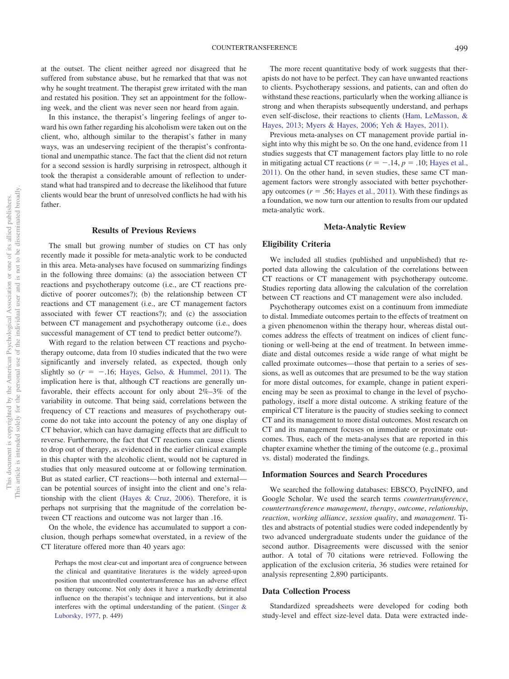at the outset. The client neither agreed nor disagreed that he suffered from substance abuse, but he remarked that that was not why he sought treatment. The therapist grew irritated with the man and restated his position. They set an appointment for the following week, and the client was never seen nor heard from again.

In this instance, the therapist's lingering feelings of anger toward his own father regarding his alcoholism were taken out on the client, who, although similar to the therapist's father in many ways, was an undeserving recipient of the therapist's confrontational and unempathic stance. The fact that the client did not return for a second session is hardly surprising in retrospect, although it took the therapist a considerable amount of reflection to understand what had transpired and to decrease the likelihood that future clients would bear the brunt of unresolved conflicts he had with his father.

# **Results of Previous Reviews**

The small but growing number of studies on CT has only recently made it possible for meta-analytic work to be conducted in this area. Meta-analyses have focused on summarizing findings in the following three domains: (a) the association between CT reactions and psychotherapy outcome (i.e., are CT reactions predictive of poorer outcomes?); (b) the relationship between CT reactions and CT management (i.e., are CT management factors associated with fewer CT reactions?); and (c) the association between CT management and psychotherapy outcome (i.e., does successful management of CT tend to predict better outcome?).

With regard to the relation between CT reactions and psychotherapy outcome, data from 10 studies indicated that the two were significantly and inversely related, as expected, though only slightly so  $(r = -.16;$  [Hayes, Gelso, & Hummel, 2011\)](#page-10-16). The implication here is that, although CT reactions are generally unfavorable, their effects account for only about 2%–3% of the variability in outcome. That being said, correlations between the frequency of CT reactions and measures of psychotherapy outcome do not take into account the potency of any one display of CT behavior, which can have damaging effects that are difficult to reverse. Furthermore, the fact that CT reactions can cause clients to drop out of therapy, as evidenced in the earlier clinical example in this chapter with the alcoholic client, would not be captured in studies that only measured outcome at or following termination. But as stated earlier, CT reactions— both internal and external can be potential sources of insight into the client and one's relationship with the client [\(Hayes & Cruz, 2006\)](#page-10-17). Therefore, it is perhaps not surprising that the magnitude of the correlation between CT reactions and outcome was not larger than .16.

On the whole, the evidence has accumulated to support a conclusion, though perhaps somewhat overstated, in a review of the CT literature offered more than 40 years ago:

Perhaps the most clear-cut and important area of congruence between the clinical and quantitative literatures is the widely agreed-upon position that uncontrolled countertransference has an adverse effect on therapy outcome. Not only does it have a markedly detrimental influence on the therapist's technique and interventions, but it also interferes with the optimal understanding of the patient. [\(Singer &](#page-11-8) [Luborsky, 1977,](#page-11-8) p. 449)

The more recent quantitative body of work suggests that therapists do not have to be perfect. They can have unwanted reactions to clients. Psychotherapy sessions, and patients, can and often do withstand these reactions, particularly when the working alliance is strong and when therapists subsequently understand, and perhaps even self-disclose, their reactions to clients [\(Ham, LeMasson, &](#page-10-18) [Hayes, 2013;](#page-10-18) [Myers & Hayes, 2006;](#page-11-9) [Yeh & Hayes, 2011\)](#page-11-10).

Previous meta-analyses on CT management provide partial insight into why this might be so. On the one hand, evidence from 11 studies suggests that CT management factors play little to no role in mitigating actual CT reactions ( $r = -.14$ ,  $p = .10$ ; [Hayes et al.,](#page-10-16) [2011\)](#page-10-16). On the other hand, in seven studies, these same CT management factors were strongly associated with better psychotherapy outcomes  $(r = .56;$  [Hayes et al., 2011\)](#page-10-16). With these findings as a foundation, we now turn our attention to results from our updated meta-analytic work.

# **Meta-Analytic Review**

# **Eligibility Criteria**

We included all studies (published and unpublished) that reported data allowing the calculation of the correlations between CT reactions or CT management with psychotherapy outcome. Studies reporting data allowing the calculation of the correlation between CT reactions and CT management were also included.

Psychotherapy outcomes exist on a continuum from immediate to distal. Immediate outcomes pertain to the effects of treatment on a given phenomenon within the therapy hour, whereas distal outcomes address the effects of treatment on indices of client functioning or well-being at the end of treatment. In between immediate and distal outcomes reside a wide range of what might be called proximate outcomes—those that pertain to a series of sessions, as well as outcomes that are presumed to be the way station for more distal outcomes, for example, change in patient experiencing may be seen as proximal to change in the level of psychopathology, itself a more distal outcome. A striking feature of the empirical CT literature is the paucity of studies seeking to connect CT and its management to more distal outcomes. Most research on CT and its management focuses on immediate or proximate outcomes. Thus, each of the meta-analyses that are reported in this chapter examine whether the timing of the outcome (e.g., proximal vs. distal) moderated the findings.

# **Information Sources and Search Procedures**

We searched the following databases: EBSCO, PsycINFO, and Google Scholar. We used the search terms *countertransference*, *countertransference management*, *therapy*, *outcome*, *relationship*, *reaction*, *working alliance*, *session quality*, and *management*. Titles and abstracts of potential studies were coded independently by two advanced undergraduate students under the guidance of the second author. Disagreements were discussed with the senior author. A total of 70 citations were retrieved. Following the application of the exclusion criteria, 36 studies were retained for analysis representing 2,890 participants.

#### **Data Collection Process**

Standardized spreadsheets were developed for coding both study-level and effect size-level data. Data were extracted inde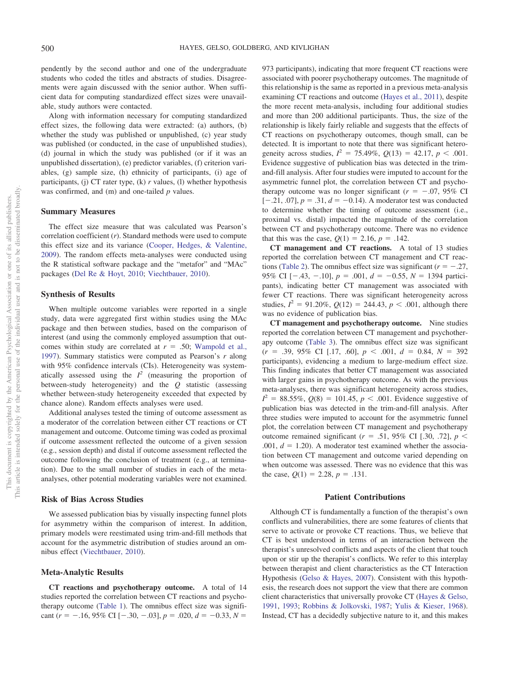pendently by the second author and one of the undergraduate students who coded the titles and abstracts of studies. Disagreements were again discussed with the senior author. When sufficient data for computing standardized effect sizes were unavailable, study authors were contacted.

Along with information necessary for computing standardized effect sizes, the following data were extracted: (a) authors, (b) whether the study was published or unpublished, (c) year study was published (or conducted, in the case of unpublished studies), (d) journal in which the study was published (or if it was an unpublished dissertation), (e) predictor variables, (f) criterion variables, (g) sample size, (h) ethnicity of participants, (i) age of participants, (j) CT rater type, (k) *r* values, (l) whether hypothesis was confirmed, and (m) and one-tailed *p* values.

# **Summary Measures**

The effect size measure that was calculated was Pearson's correlation coefficient (*r*). Standard methods were used to compute this effect size and its variance [\(Cooper, Hedges, & Valentine,](#page-9-10) [2009\)](#page-9-10). The random effects meta-analyses were conducted using the R statistical software package and the "metafor" and "MAc" packages [\(Del Re & Hoyt, 2010;](#page-9-11) [Viechtbauer, 2010\)](#page-11-11).

#### **Synthesis of Results**

When multiple outcome variables were reported in a single study, data were aggregated first within studies using the MAc package and then between studies, based on the comparison of interest (and using the commonly employed assumption that outcomes within study are correlated at  $r = .50$ ; [Wampold et al.,](#page-11-12) [1997\)](#page-11-12). Summary statistics were computed as Pearson's *r* along with 95% confidence intervals (CIs). Heterogeneity was systematically assessed using the  $I^2$  (measuring the proportion of between-study heterogeneity) and the *Q* statistic (assessing whether between-study heterogeneity exceeded that expected by chance alone). Random effects analyses were used.

Additional analyses tested the timing of outcome assessment as a moderator of the correlation between either CT reactions or CT management and outcome. Outcome timing was coded as proximal if outcome assessment reflected the outcome of a given session (e.g., session depth) and distal if outcome assessment reflected the outcome following the conclusion of treatment (e.g., at termination). Due to the small number of studies in each of the metaanalyses, other potential moderating variables were not examined.

#### **Risk of Bias Across Studies**

We assessed publication bias by visually inspecting funnel plots for asymmetry within the comparison of interest. In addition, primary models were reestimated using trim-and-fill methods that account for the asymmetric distribution of studies around an omnibus effect [\(Viechtbauer, 2010\)](#page-11-11).

# **Meta-Analytic Results**

**CT reactions and psychotherapy outcome.** A total of 14 studies reported the correlation between CT reactions and psychotherapy outcome [\(Table 1\)](#page-5-0). The omnibus effect size was significant  $(r = -.16, 95\% \text{ CI } [-.30, -.03], p = .020, d = -0.33, N =$ 

973 participants), indicating that more frequent CT reactions were associated with poorer psychotherapy outcomes. The magnitude of this relationship is the same as reported in a previous meta-analysis examining CT reactions and outcome [\(Hayes et al., 2011\)](#page-10-16), despite the more recent meta-analysis, including four additional studies and more than 200 additional participants. Thus, the size of the relationship is likely fairly reliable and suggests that the effects of CT reactions on psychotherapy outcomes, though small, can be detected. It is important to note that there was significant heterogeneity across studies,  $I^2 = 75.49\%$ ,  $Q(13) = 42.17$ ,  $p < .001$ . Evidence suggestive of publication bias was detected in the trimand-fill analysis. After four studies were imputed to account for the asymmetric funnel plot, the correlation between CT and psychotherapy outcome was no longer significant  $(r = -.07, 95\% \text{ CI})$  $[-.21, .07]$ ,  $p = .31$ ,  $d = -0.14$ ). A moderator test was conducted to determine whether the timing of outcome assessment (i.e., proximal vs. distal) impacted the magnitude of the correlation between CT and psychotherapy outcome. There was no evidence that this was the case,  $Q(1) = 2.16$ ,  $p = .142$ .

**CT management and CT reactions.** A total of 13 studies reported the correlation between CT management and CT reac-tions [\(Table 2\)](#page-6-0). The omnibus effect size was significant  $(r = -.27, ...)$ 95% CI  $[-.43, -.10]$ ,  $p = .001$ ,  $d = -0.55$ ,  $N = 1394$  participants), indicating better CT management was associated with fewer CT reactions. There was significant heterogeneity across studies,  $I^2 = 91.20\%$ ,  $Q(12) = 244.43$ ,  $p < .001$ , although there was no evidence of publication bias.

**CT management and psychotherapy outcome.** Nine studies reported the correlation between CT management and psychotherapy outcome [\(Table 3\)](#page-7-0). The omnibus effect size was significant  $(r = .39, 95\% \text{ CI}$  [.17, .60],  $p < .001, d = 0.84, N = 392$ participants), evidencing a medium to large-medium effect size. This finding indicates that better CT management was associated with larger gains in psychotherapy outcome. As with the previous meta-analyses, there was significant heterogeneity across studies,  $I^2 = 88.55\%, \, Q(8) = 101.45, \, p < .001.$  Evidence suggestive of publication bias was detected in the trim-and-fill analysis. After three studies were imputed to account for the asymmetric funnel plot, the correlation between CT management and psychotherapy outcome remained significant ( $r = .51, 95\%$  CI [.30, .72],  $p <$  $.001, d = 1.20$ ). A moderator test examined whether the association between CT management and outcome varied depending on when outcome was assessed. There was no evidence that this was the case,  $Q(1) = 2.28$ ,  $p = .131$ .

# **Patient Contributions**

Although CT is fundamentally a function of the therapist's own conflicts and vulnerabilities, there are some features of clients that serve to activate or provoke CT reactions. Thus, we believe that CT is best understood in terms of an interaction between the therapist's unresolved conflicts and aspects of the client that touch upon or stir up the therapist's conflicts. We refer to this interplay between therapist and client characteristics as the CT Interaction Hypothesis [\(Gelso & Hayes, 2007\)](#page-10-9). Consistent with this hypothesis, the research does not support the view that there are common client characteristics that universally provoke CT [\(Hayes & Gelso,](#page-10-19) [1991,](#page-10-19) [1993;](#page-10-13) [Robbins & Jolkovski, 1987;](#page-11-6) [Yulis & Kieser, 1968\)](#page-11-13). Instead, CT has a decidedly subjective nature to it, and this makes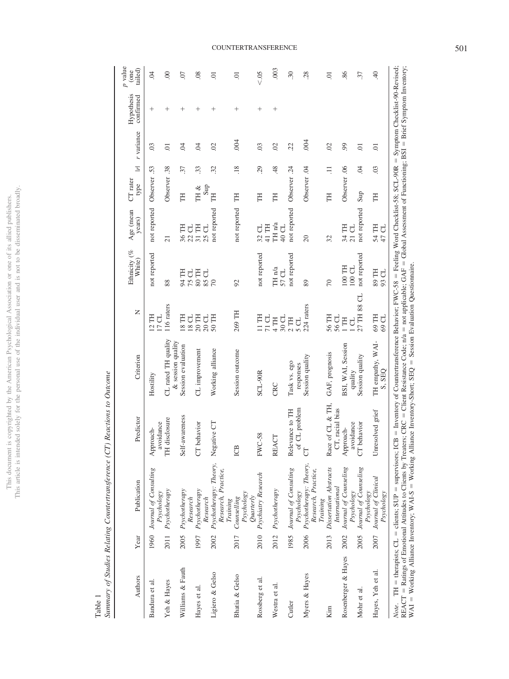This document is copyrighted by the American Psychological Association or one of its allied publishers.<br>This article is intended solely for the personal use of the individual user and is not to be disseminated broadly. This article is intended solely for the personal use of the individual user and is not to be disseminated broadly. This document is copyrighted by the American Psychological Association or one of its allied publishers.

<span id="page-5-0"></span>Table 1

| ١                                                                   |
|---------------------------------------------------------------------|
| l<br>I<br>í<br>l                                                    |
| ו<br>ו<br>l                                                         |
| ļ<br>J<br>֦֧֦֦֦֦֖֖֦֦֧֦֧֦֧֦֧֧֚֚֚֚֚֚֝֬֝֬֓֝֓֡֝֬֝֬֝֬֝֬֓֝<br>ł<br>ì<br>l |
| I<br>١                                                              |
| i<br>l<br>֖֖֖֧ׅ֖֧֖֧֚֚֚֚֚֚֚֚֚֚֚֚֚֚֚֚֚֚֚֚֚֚֚֚֚֚֚֚֚֚֬֝֬֝֓֞֝<br>į       |
| l<br>I<br>֠                                                         |
| .<br>י<br>ļ                                                         |
|                                                                     |
| j<br>l<br>Į<br>ׇׇ֚֬֓֡<br>Ì                                          |

| Authors             | Year | Publication                                                                                                                                                                                                                                                                                                                                                                   | Predictor                           | Criterion                                                                                                                    | $\simeq$                                 | Ethnicity (%<br>White) | Age (mean<br>years)                         | CT rater<br>type | r variance<br>Σ                       | Hypothesis<br>confirmed | $p$ value<br>tailed)<br>(one |
|---------------------|------|-------------------------------------------------------------------------------------------------------------------------------------------------------------------------------------------------------------------------------------------------------------------------------------------------------------------------------------------------------------------------------|-------------------------------------|------------------------------------------------------------------------------------------------------------------------------|------------------------------------------|------------------------|---------------------------------------------|------------------|---------------------------------------|-------------------------|------------------------------|
| Bandura et al.      |      | 1960 Journal of Consulting<br>Psychology                                                                                                                                                                                                                                                                                                                                      | avoidance<br>Approach-              | Hostility                                                                                                                    | 12 TH<br>17 CL                           | not reported           | not reported                                | Observer         | $\overline{0}$<br>53.                 | $^{+}$                  | $\overline{6}$               |
| Yeh & Hayes         | 2011 | Psychotherapy                                                                                                                                                                                                                                                                                                                                                                 | TH disclosure                       | CL rated TH quality<br>& session quality                                                                                     | 116 raters                               | 88                     | $\overline{c}$                              | Observer         | 5.<br>38.                             | $\hspace{0.1mm} +$      | $\odot$                      |
| Williams & Fauth    | 2005 | Psychotherapy<br>Research                                                                                                                                                                                                                                                                                                                                                     | Self-awareness                      | Session evaluation                                                                                                           | Ë<br>ರ<br>$\frac{8}{2}$<br>$\frac{8}{2}$ | 田<br>1525<br>1525      | Ë<br>J<br>36 <sup>1</sup><br>$\overline{2}$ | H                | $\ddot{\mathrm{0}}$<br>57             | $^{+}$                  | CO.                          |
| Hayes et al.        | 1997 | Psychotherapy<br>Research                                                                                                                                                                                                                                                                                                                                                     | behavior<br>5                       | CL improvement                                                                                                               | $\frac{20}{50}$ TH<br>20 TH              | $\frac{85}{70}$ CL     | 31 TH<br>25 <sub>CL</sub>                   | Sup<br>TH &      | $\ddot{\mathrm{0}}$<br>33             | $^{+}$                  | 08                           |
| Ligiero & Gelso     | 2002 | Psychotherapy: Theory,<br>Research, Practice,<br>Training                                                                                                                                                                                                                                                                                                                     | Negative CT                         | Working alliance                                                                                                             |                                          |                        | not reported                                | H                | $\mathcal{S}$<br>32                   | $^{+}$                  | $\overline{0}$               |
| Bhatia & Gelso      | 2017 | Psychology<br>Quarterly<br>Counselling                                                                                                                                                                                                                                                                                                                                        | ICB                                 | Session outcome                                                                                                              | 269 TH                                   | 92                     | not reported                                | Ë                | 604<br>$\frac{8}{18}$                 | $^{+}$                  | $\overline{0}$               |
| Rossberg et al.     | 2010 | Psychiatry Research                                                                                                                                                                                                                                                                                                                                                           | <b>FWC-58</b>                       | SCL-90R                                                                                                                      | 11 TH<br>$71$ CL                         | not reported           | 32 CL<br>41 TH                              | H                | $\overline{0}$<br>29                  | $^{+}$                  | &0.5                         |
| Westra et al.       | 2012 | Psychotherapy                                                                                                                                                                                                                                                                                                                                                                 | <b>ACT</b><br>RE                    | <b>CRC</b>                                                                                                                   | 30 CL<br>$4$ TH                          | TH n/a<br>57 CL        | TH n/a<br>40 CL                             | Ë                | $\Omega$<br>48                        | $^{+}$                  | .003                         |
| Cutler              | 1985 | Journal of Consulting<br>Psychology                                                                                                                                                                                                                                                                                                                                           | of CL problem<br>Relevance to TH    | Task vs. ego<br>responses                                                                                                    | 2TH<br>5 CL                              | not reported           | not reported                                | Observer         | 22<br>$\ddot{c}$                      |                         | 30                           |
| Myers & Hayes       | 2006 | Psychotherapy: Theory,<br>Research, Practice,<br>Training                                                                                                                                                                                                                                                                                                                     | 5                                   | Session quality                                                                                                              | 224 raters                               | 89                     | $\Omega$                                    | Observer .04     | 604                                   |                         | 28                           |
| Kim                 | 2013 | Dissertation Abstracts<br>International                                                                                                                                                                                                                                                                                                                                       | Race of CL & TH,<br>CT, racial bias | GAF, prognosis                                                                                                               | 56 TH<br>56 CL                           | $\overline{70}$        | 32                                          | H                | $\overline{0}$<br>$\Xi$               |                         | ā                            |
| Rosenberger & Hayes | 2002 | Journal of Counseling<br>Psychology                                                                                                                                                                                                                                                                                                                                           | avoidance<br>Approach-              | BSI, WAI, Session<br>quality                                                                                                 | $1$ TH<br>J                              | 100 TH<br>$100$ CL     | 34 TH<br>$21$ CL                            | Observer         | 99<br>$\overline{0}$                  |                         | 86                           |
| Mohr et al.         | 2005 | Journal of Counseling<br>Psychology                                                                                                                                                                                                                                                                                                                                           | l' behavior<br>5                    | Session quality                                                                                                              | J<br>27 TH 88                            | not reported           | not reported                                | Sup              | $\overline{0}$<br>$\ddot{\mathrm{C}}$ |                         | 57                           |
| Hayes, Yeh et al.   | 2007 | Journal of Clinical<br>Psychology                                                                                                                                                                                                                                                                                                                                             | Unresolved grief                    | TH empathy, WAI-<br>SEQ<br>Μ                                                                                                 | 69 TH<br>69 CL                           | 89 TH<br>93 CL         | 54 TH<br>47 CL                              | H                | $\Xi$<br>$\overline{0}$               |                         | $\ddot{ }$                   |
| Note.               |      | REACT = Ratings of Emotional Attitudes to Clients by Treaters; CRC = Client Resistance Code; $n/a =$ not applicable; GAF = Global Assessment of Functioning; BSI = Brief Symptom Inventory;<br>WAI = Working Alliance Inventory; WA1-S = Working Alliance Inventory-Short; SEQ = Session Evaluation Questionnaire.<br>TH = therapists; $CL = clients$ ; $SUP = supersors$ ; 1 |                                     | ICB = Inventory of Countertransference Behavior; FWC-58 = Feeling Word Checklist-58; SCL-90R = Symptom Checklist-90-Revised; |                                          |                        |                                             |                  |                                       |                         |                              |

# COUNTERTRANSFERENCE 501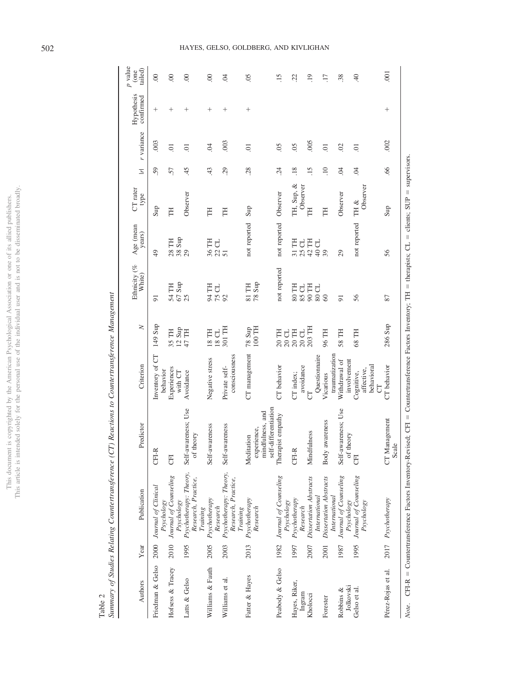| ĵ                    | ¢             |
|----------------------|---------------|
| I<br>ĵ<br>ä          | l             |
|                      |               |
|                      |               |
|                      |               |
|                      |               |
|                      |               |
|                      |               |
|                      |               |
| ï                    |               |
|                      | i             |
|                      |               |
|                      |               |
|                      |               |
|                      |               |
|                      | ś             |
|                      |               |
|                      |               |
|                      |               |
|                      | I             |
|                      |               |
|                      |               |
|                      |               |
|                      |               |
|                      |               |
|                      |               |
|                      |               |
|                      |               |
|                      | š             |
|                      |               |
|                      |               |
| í                    | ¢             |
|                      |               |
| į                    |               |
|                      |               |
| j<br>J               |               |
| j<br>ì               |               |
|                      |               |
|                      |               |
|                      |               |
|                      |               |
|                      |               |
| $\overline{a}$<br>l  |               |
|                      |               |
| į                    | õ<br>j        |
|                      |               |
| í                    |               |
|                      | ¢             |
|                      |               |
|                      | i             |
|                      |               |
|                      |               |
|                      |               |
|                      |               |
| j                    |               |
|                      |               |
|                      |               |
| ł<br>j               |               |
| ì<br>j               |               |
| 1<br>J               |               |
|                      |               |
| Contact Virtual Card |               |
| ì                    |               |
|                      |               |
|                      |               |
|                      |               |
|                      |               |
| š                    | I             |
|                      |               |
| i                    |               |
|                      |               |
| J                    |               |
|                      |               |
|                      | Ì             |
| . his                |               |
|                      | $\frac{1}{2}$ |
|                      |               |
| í                    |               |
|                      | ÿ             |
|                      | È             |
|                      |               |

<span id="page-6-0"></span>Table 2

Summary of Studies Relating Countertransference (CT) Reactions to Countertransference Management Summary of Studies Relating Countertransference (CT) Reactions to Countertransference Management

| Authors            | Year | Publication                                                                                                                                                         | Predictor                                               | Criterion                                   | $\geq$                                                                                                                                                                                                                                                                                              | Ethnicity (%<br>White)      | Age (mean<br>years)                                           | CT rater<br>type          | Ξ                   | r variance          | Hypothesis<br>confirmed | $p$ value<br>tailed)<br>(one |
|--------------------|------|---------------------------------------------------------------------------------------------------------------------------------------------------------------------|---------------------------------------------------------|---------------------------------------------|-----------------------------------------------------------------------------------------------------------------------------------------------------------------------------------------------------------------------------------------------------------------------------------------------------|-----------------------------|---------------------------------------------------------------|---------------------------|---------------------|---------------------|-------------------------|------------------------------|
| Friedman & Gelso   |      | 2000 Journal of Clinical<br>Psychology                                                                                                                              | CFI-R                                                   | Inventory of CT<br>behavior                 | $149$ Sup                                                                                                                                                                                                                                                                                           | 5                           | 49                                                            | Sup                       | 59                  | .003                | $^{+}$                  | 00                           |
| Hofsess & Tracey   | 2010 | Journal of Counseling                                                                                                                                               | E                                                       | Experiences                                 |                                                                                                                                                                                                                                                                                                     |                             | 28 TH                                                         | H                         | 57                  | 5.                  | $^{+}$                  | 00                           |
| Latts & Gelso      | 1995 | Psychotherapy: Theory,<br>Psychology                                                                                                                                | Self-awareness; Use                                     | with CT<br>Avoidance                        | 35 TH<br>12 Sup<br>47 TH                                                                                                                                                                                                                                                                            | $54$ TH<br>$67$ Sup<br>$25$ | $\frac{38}{29}$ Sup                                           | Observer                  | 45                  | $\overline{0}$      | $\hspace{0.1mm} +$      | $\odot$                      |
|                    |      | Research, Practice,<br>Training                                                                                                                                     | of theory                                               |                                             |                                                                                                                                                                                                                                                                                                     |                             |                                                               |                           |                     |                     |                         |                              |
| Williams & Fauth   | 2005 | Psychotherapy<br>Research                                                                                                                                           | Self-awareness                                          | Negative stress                             | 18 CL<br>18 TH                                                                                                                                                                                                                                                                                      | 田<br>また<br>また               | 3625                                                          | H                         | 43                  | $\ddot{\mathrm{S}}$ | $\hspace{0.1mm} +$      | $\odot$                      |
| Williams et al.    | 2003 | Psychotherapy: Theory,<br>Research, Practice,<br>Training                                                                                                           | Self-awareness                                          | consciousness<br>Private self-              | 301 TH                                                                                                                                                                                                                                                                                              |                             |                                                               | H                         | 29                  | .003                | $^{+}$                  | $\tilde{q}$                  |
| Fatter & Hayes     | 2013 | Psychotherapy                                                                                                                                                       | Meditation                                              | CT management                               | 78 Sup                                                                                                                                                                                                                                                                                              | 81 TH                       | not reported                                                  | Sup                       | 28                  | S.                  | $^{+}$                  | $\rm 0.0$                    |
|                    |      | Research                                                                                                                                                            | self-differentiation<br>mindfulness, and<br>experience, |                                             | 100 TH                                                                                                                                                                                                                                                                                              | Sup<br>78                   |                                                               |                           |                     |                     |                         |                              |
| Peabody & Gelso    | 1982 | Journal of Counseling<br>Psychology                                                                                                                                 | Therapist empathy                                       | CT behavior                                 | $\begin{array}{l} 24.48 \\ 25.49 \\ 26.49 \\ 27.40 \\ 28.40 \\ 29.40 \\ 20.40 \\ 20.40 \\ 20.40 \\ 20.40 \\ 20.40 \\ 20.40 \\ 20.40 \\ 20.40 \\ 20.40 \\ 20.40 \\ 20.40 \\ 20.40 \\ 20.40 \\ 20.40 \\ 20.40 \\ 20.40 \\ 20.40 \\ 20.40 \\ 20.40 \\ 20.40 \\ 20.40 \\ 20.40 \\ 20.40 \\ 20.40 \\ 20$ | not reported                | not reported                                                  | Observer                  | 24                  | 0 <sup>5</sup>      |                         | 15                           |
| Hayes, Riker,      | 1997 | Psychotherapy                                                                                                                                                       | CFI-R                                                   | CT index:                                   |                                                                                                                                                                                                                                                                                                     | 80 TH                       | 31 TH                                                         | IH, Sup, &                | .18                 | 05                  |                         | 22                           |
| Ingram             |      | Research                                                                                                                                                            |                                                         | avoidance                                   |                                                                                                                                                                                                                                                                                                     | 85 CL<br>90 TH              | $\begin{array}{l} 25 \text{ CL} \\ 42 \text{ TH} \end{array}$ | Observer                  |                     |                     |                         |                              |
| Kholocci           | 2007 | Dissertation Abstracts<br>International                                                                                                                             | Mindfulness                                             | Questionnaire                               |                                                                                                                                                                                                                                                                                                     | J<br>80 <sub>1</sub>        | J<br>$\frac{1}{4}$                                            | E                         | .15                 | 005                 |                         | .19                          |
| Forester           | 2001 | Dissertation Abstracts<br>International                                                                                                                             | awareness<br>Body                                       | traumatization<br>Vicarious                 | 96 TH                                                                                                                                                                                                                                                                                               | $\otimes$                   | 39                                                            | H                         | $\ddot{=}$          | $\overline{0}$      |                         | $\overline{17}$              |
| Robbins &          | 1987 | Journal of Counseling                                                                                                                                               | Self-awareness; Use                                     | Withdrawal of                               | 58 TH                                                                                                                                                                                                                                                                                               | 51                          | 29                                                            | Observer                  | $\ddot{\mathrm{C}}$ | $\mathcal{O}$       |                         | 38.                          |
| Jolkovski          | 1995 | Psychology                                                                                                                                                          | of theory<br>E                                          | involvement                                 | 68 TH                                                                                                                                                                                                                                                                                               | 56                          |                                                               | TH &                      | 04                  | $\overline{0}$      |                         | $\overline{40}$              |
| Gelso et al.       |      | Journal of Counseling<br>Psychology                                                                                                                                 |                                                         | behavioral<br>affective.<br>Cognitive,<br>5 |                                                                                                                                                                                                                                                                                                     |                             | not reported                                                  | Observer                  |                     |                     |                         |                              |
| Pérez-Rojas et al. |      | 2017 Psychotherapy                                                                                                                                                  | CT Management<br>Scale                                  | CT behavior                                 | 286 Sup                                                                                                                                                                                                                                                                                             | 87                          | 56                                                            | $\mathop{\mathrm {Supp}}$ | 66                  | 002                 | $^{+}$                  | $\overline{0}$               |
|                    |      | <i>Note</i> . CFI-R = Countertransference Factors Inventory-Revised; CFI = Countertransference Factors Inventory; TH = therapists; CL = clients; SUP = supervisors. |                                                         |                                             |                                                                                                                                                                                                                                                                                                     |                             |                                                               |                           |                     |                     |                         |                              |

# 502 HAYES, GELSO, GOLDBERG, AND KIVLIGHAN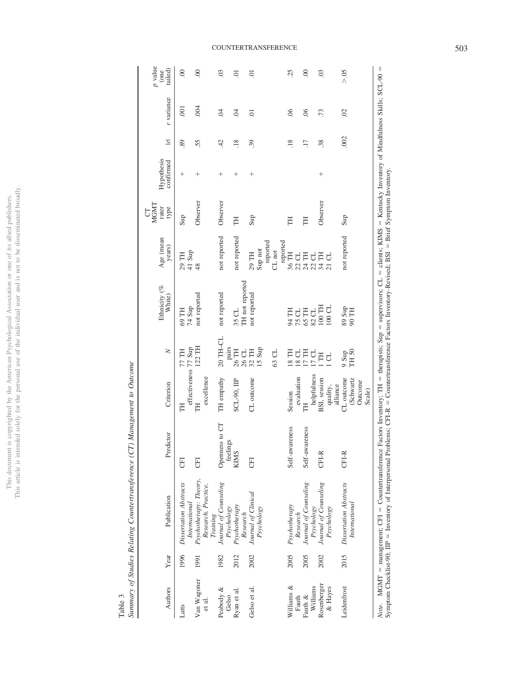|                     | ì              |
|---------------------|----------------|
|                     |                |
| j                   | i              |
| l                   |                |
|                     |                |
|                     |                |
| j                   |                |
| l                   | J              |
|                     |                |
|                     |                |
|                     |                |
|                     |                |
| į                   | j<br>ï         |
|                     |                |
|                     |                |
|                     |                |
|                     |                |
|                     | ś              |
|                     |                |
|                     |                |
|                     |                |
|                     |                |
|                     |                |
|                     |                |
|                     |                |
|                     |                |
|                     |                |
|                     |                |
|                     |                |
|                     | ξ<br>I         |
|                     |                |
|                     |                |
|                     |                |
|                     | j              |
|                     |                |
| ï                   |                |
|                     |                |
| J                   |                |
|                     |                |
|                     |                |
|                     |                |
| <b>Contract</b>     |                |
|                     |                |
|                     |                |
|                     |                |
| n o s               |                |
|                     | $\overline{a}$ |
|                     |                |
|                     |                |
| I                   |                |
|                     |                |
|                     | <b>CONTROL</b> |
|                     |                |
|                     |                |
|                     |                |
|                     |                |
|                     |                |
|                     |                |
|                     | J              |
| ς                   |                |
| j<br>ì              |                |
| ₹<br>j<br>j         |                |
|                     | ï              |
|                     |                |
| ł                   |                |
| ł                   |                |
| ł                   |                |
|                     |                |
|                     |                |
|                     | $\frac{1}{2}$  |
| į<br>$\overline{a}$ |                |
|                     |                |
|                     |                |
|                     |                |
|                     |                |
|                     |                |
|                     | j              |
| nis                 | i              |
|                     |                |
| í                   | l              |
|                     |                |
|                     |                |
|                     | ĺ<br>l         |

<span id="page-7-0"></span>Table 3

Summary of Studies Relating Countertransference (CT) Management to Outcome *Summary of Studies Relating Countertransference (CT) Management to Outcome*

# COUNTERTRANSFERENCE 503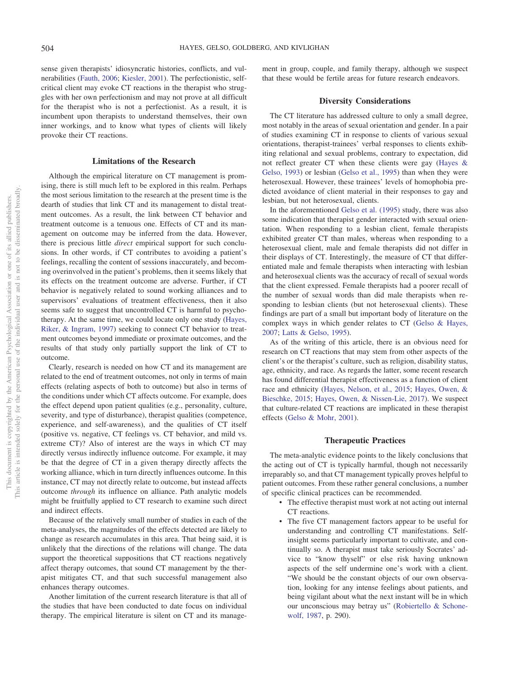sense given therapists' idiosyncratic histories, conflicts, and vulnerabilities [\(Fauth, 2006;](#page-9-6) [Kiesler, 2001\)](#page-10-20). The perfectionistic, selfcritical client may evoke CT reactions in the therapist who struggles with her own perfectionism and may not prove at all difficult for the therapist who is not a perfectionist. As a result, it is incumbent upon therapists to understand themselves, their own inner workings, and to know what types of clients will likely provoke their CT reactions.

## **Limitations of the Research**

Although the empirical literature on CT management is promising, there is still much left to be explored in this realm. Perhaps the most serious limitation to the research at the present time is the dearth of studies that link CT and its management to distal treatment outcomes. As a result, the link between CT behavior and treatment outcome is a tenuous one. Effects of CT and its management on outcome may be inferred from the data. However, there is precious little *direct* empirical support for such conclusions. In other words, if CT contributes to avoiding a patient's feelings, recalling the content of sessions inaccurately, and becoming overinvolved in the patient's problems, then it seems likely that its effects on the treatment outcome are adverse. Further, if CT behavior is negatively related to sound working alliances and to supervisors' evaluations of treatment effectiveness, then it also seems safe to suggest that uncontrolled CT is harmful to psychotherapy. At the same time, we could locate only one study [\(Hayes,](#page-10-21) [Riker, & Ingram, 1997\)](#page-10-21) seeking to connect CT behavior to treatment outcomes beyond immediate or proximate outcomes, and the results of that study only partially support the link of CT to outcome.

Clearly, research is needed on how CT and its management are related to the end of treatment outcomes, not only in terms of main effects (relating aspects of both to outcome) but also in terms of the conditions under which CT affects outcome. For example, does the effect depend upon patient qualities (e.g., personality, culture, severity, and type of disturbance), therapist qualities (competence, experience, and self-awareness), and the qualities of CT itself (positive vs. negative, CT feelings vs. CT behavior, and mild vs. extreme CT)? Also of interest are the ways in which CT may directly versus indirectly influence outcome. For example, it may be that the degree of CT in a given therapy directly affects the working alliance, which in turn directly influences outcome. In this instance, CT may not directly relate to outcome, but instead affects outcome *through* its influence on alliance. Path analytic models might be fruitfully applied to CT research to examine such direct and indirect effects.

Because of the relatively small number of studies in each of the meta-analyses, the magnitudes of the effects detected are likely to change as research accumulates in this area. That being said, it is unlikely that the directions of the relations will change. The data support the theoretical suppositions that CT reactions negatively affect therapy outcomes, that sound CT management by the therapist mitigates CT, and that such successful management also enhances therapy outcomes.

Another limitation of the current research literature is that all of the studies that have been conducted to date focus on individual therapy. The empirical literature is silent on CT and its management in group, couple, and family therapy, although we suspect that these would be fertile areas for future research endeavors.

#### **Diversity Considerations**

The CT literature has addressed culture to only a small degree, most notably in the areas of sexual orientation and gender. In a pair of studies examining CT in response to clients of various sexual orientations, therapist-trainees' verbal responses to clients exhibiting relational and sexual problems, contrary to expectation, did not reflect greater CT when these clients were gay [\(Hayes &](#page-10-13) [Gelso, 1993\)](#page-10-13) or lesbian [\(Gelso et al., 1995\)](#page-10-11) than when they were heterosexual. However, these trainees' levels of homophobia predicted avoidance of client material in their responses to gay and lesbian, but not heterosexual, clients.

In the aforementioned [Gelso et al. \(1995\)](#page-10-11) study, there was also some indication that therapist gender interacted with sexual orientation. When responding to a lesbian client, female therapists exhibited greater CT than males, whereas when responding to a heterosexual client, male and female therapists did not differ in their displays of CT. Interestingly, the measure of CT that differentiated male and female therapists when interacting with lesbian and heterosexual clients was the accuracy of recall of sexual words that the client expressed. Female therapists had a poorer recall of the number of sexual words than did male therapists when responding to lesbian clients (but not heterosexual clients). These findings are part of a small but important body of literature on the complex ways in which gender relates to CT [\(Gelso & Hayes,](#page-10-9) [2007;](#page-10-9) [Latts & Gelso, 1995\)](#page-10-22).

As of the writing of this article, there is an obvious need for research on CT reactions that may stem from other aspects of the client's or the therapist's culture, such as religion, disability status, age, ethnicity, and race. As regards the latter, some recent research has found differential therapist effectiveness as a function of client race and ethnicity [\(Hayes, Nelson, et al., 2015;](#page-10-10) [Hayes, Owen, &](#page-10-23) [Bieschke, 2015;](#page-10-23) [Hayes, Owen, & Nissen-Lie, 2017\)](#page-10-24). We suspect that culture-related CT reactions are implicated in these therapist effects [\(Gelso & Mohr, 2001\)](#page-10-25).

## **Therapeutic Practices**

The meta-analytic evidence points to the likely conclusions that the acting out of CT is typically harmful, though not necessarily irreparably so, and that CT management typically proves helpful to patient outcomes. From these rather general conclusions, a number of specific clinical practices can be recommended.

- The effective therapist must work at not acting out internal CT reactions.
- The five CT management factors appear to be useful for understanding and controlling CT manifestations. Selfinsight seems particularly important to cultivate, and continually so. A therapist must take seriously Socrates' advice to "know thyself" or else risk having unknown aspects of the self undermine one's work with a client. "We should be the constant objects of our own observation, looking for any intense feelings about patients, and being vigilant about what the next instant will be in which our unconscious may betray us" [\(Robiertello & Schone](#page-11-14)[wolf, 1987,](#page-11-14) p. 290).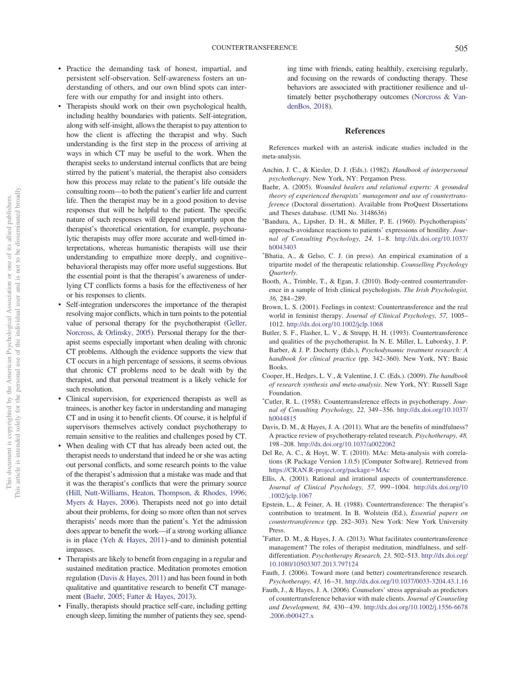- Practice the demanding task of honest, impartial, and persistent self-observation. Self-awareness fosters an understanding of others, and our own blind spots can interfere with our empathy for and insight into others.
- Therapists should work on their own psychological health, including healthy boundaries with patients. Self-integration, along with self-insight, allows the therapist to pay attention to how the client is affecting the therapist and why. Such understanding is the first step in the process of arriving at ways in which CT may be useful to the work. When the therapist seeks to understand internal conflicts that are being stirred by the patient's material, the therapist also considers how this process may relate to the patient's life outside the consulting room—to both the patient's earlier life and current life. Then the therapist may be in a good position to devise responses that will be helpful to the patient. The specific nature of such responses will depend importantly upon the therapist's theoretical orientation, for example, psychoanalytic therapists may offer more accurate and well-timed interpretations, whereas humanistic therapists will use their understanding to empathize more deeply, and cognitive– behavioral therapists may offer more useful suggestions. But the essential point is that the therapist's awareness of underlying CT conflicts forms a basis for the effectiveness of her or his responses to clients.
- Self-integration underscores the importance of the therapist resolving major conflicts, which in turn points to the potential value of personal therapy for the psychotherapist [\(Geller,](#page-10-26) [Norcross, & Orlinsky, 2005\)](#page-10-26). Personal therapy for the therapist seems especially important when dealing with chronic CT problems. Although the evidence supports the view that CT occurs in a high percentage of sessions, it seems obvious that chronic CT problems need to be dealt with by the therapist, and that personal treatment is a likely vehicle for such resolution.
- Clinical supervision, for experienced therapists as well as trainees, is another key factor in understanding and managing CT and in using it to benefit clients. Of course, it is helpful if supervisors themselves actively conduct psychotherapy to remain sensitive to the realities and challenges posed by CT.
- When dealing with CT that has already been acted out, the therapist needs to understand that indeed he or she was acting out personal conflicts, and some research points to the value of the therapist's admission that a mistake was made and that it was the therapist's conflicts that were the primary source [\(Hill, Nutt-Williams, Heaton, Thompson, & Rhodes, 1996;](#page-10-27) [Myers & Hayes, 2006\)](#page-11-9). Therapists need not go into detail about their problems, for doing so more often than not serves therapists' needs more than the patient's. Yet the admission does appear to benefit the work—if a strong working alliance is in place [\(Yeh & Hayes, 2011\)](#page-11-10)–and to diminish potential impasses.
- Therapists are likely to benefit from engaging in a regular and sustained meditation practice. Meditation promotes emotion regulation [\(Davis & Hayes, 2011\)](#page-9-12) and has been found in both qualitative and quantitative research to benefit CT management [\(Baehr, 2005;](#page-9-13) [Fatter & Hayes, 2013\)](#page-9-14).
- Finally, therapists should practice self-care, including getting enough sleep, limiting the number of patients they see, spend-

ing time with friends, eating healthily, exercising regularly, and focusing on the rewards of conducting therapy. These behaviors are associated with practitioner resilience and ultimately better psychotherapy outcomes [\(Norcross & Van](#page-11-15)[denBos, 2018\)](#page-11-15).

## **References**

References marked with an asterisk indicate studies included in the meta-analysis.

- <span id="page-9-4"></span>Anchin, J. C., & Kiesler, D. J. (Eds.). (1982). *Handbook of interpersonal psychotherapy*. New York, NY: Pergamon Press.
- <span id="page-9-13"></span>Baehr, A. (2005). *Wounded healers and relational experts: A grounded theory of experienced therapists' management and use of countertransference* (Doctoral dissertation). Available from ProQuest Dissertations and Theses database. (UMI No. 3148636)
- <span id="page-9-7"></span>- Bandura, A., Lipsher, D. H., & Miller, P. E. (1960). Psychotherapists' approach-avoidance reactions to patients' expressions of hostility. *Journal of Consulting Psychology, 24,* 1– 8. [http://dx.doi.org/10.1037/](http://dx.doi.org/10.1037/h0043403) [h0043403](http://dx.doi.org/10.1037/h0043403)
- Bhatia, A., & Gelso, C. J. (in press). An empirical examination of a tripartite model of the therapeutic relationship. *Counselling Psychology Quarterly*.
- <span id="page-9-9"></span>Booth, A., Trimble, T., & Egan, J. (2010). Body-centred countertransference in a sample of Irish clinical psychologists. *The Irish Psychologist, 36,* 284 –289.
- <span id="page-9-1"></span>Brown, L. S. (2001). Feelings in context: Countertransference and the real world in feminist therapy. *Journal of Clinical Psychology, 57,* 1005– 1012. <http://dx.doi.org/10.1002/jclp.1068>
- <span id="page-9-5"></span>Butler, S. F., Flasher, L. V., & Strupp, H. H. (1993). Countertransference and qualities of the psychotherapist. In N. E. Miller, L. Luborsky, J. P. Barber, & J. P. Docherty (Eds.), *Psychodynamic treatment research: A handbook for clinical practice* (pp. 342–360). New York, NY: Basic Books.
- <span id="page-9-10"></span>Cooper, H., Hedges, L. V., & Valentine, J. C. (Eds.). (2009). *The handbook of research synthesis and meta-analysis*. New York, NY: Russell Sage Foundation.
- <span id="page-9-0"></span>- Cutler, R. L. (1958). Countertransference effects in psychotherapy. *Journal of Consulting Psychology, 22,* 349 –356. [http://dx.doi.org/10.1037/](http://dx.doi.org/10.1037/h0044815) [h0044815](http://dx.doi.org/10.1037/h0044815)
- <span id="page-9-12"></span>Davis, D. M., & Hayes, J. A. (2011). What are the benefits of mindfulness? A practice review of psychotherapy-related research. *Psychotherapy, 48,* 198 –208. <http://dx.doi.org/10.1037/a0022062>
- <span id="page-9-11"></span>Del Re, A. C., & Hoyt, W. T. (2010). MAc: Meta-analysis with correlations (R Package Version 1.0.5) [Computer Software]. Retrieved from [https://CRAN.R-project.org/package](https://CRAN.R-project.org/package=MAc)-MAc
- <span id="page-9-2"></span>Ellis, A. (2001). Rational and irrational aspects of countertransference. *Journal of Clinical Psychology, 57,* 999 –1004. [http://dx.doi.org/10](http://dx.doi.org/10.1002/jclp.1067) [.1002/jclp.1067](http://dx.doi.org/10.1002/jclp.1067)
- <span id="page-9-3"></span>Epstein, L., & Feiner, A. H. (1988). Countertransference: The therapist's contribution to treatment. In B. Wolstein (Ed.), *Essential papers on countertransference* (pp. 282–303). New York: New York University Press.
- <span id="page-9-14"></span>- Fatter, D. M., & Hayes, J. A. (2013). What facilitates countertransference management? The roles of therapist meditation, mindfulness, and selfdifferentiation. *Psychotherapy Research, 23,* 502–513. [http://dx.doi.org/](http://dx.doi.org/10.1080/10503307.2013.797124) [10.1080/10503307.2013.797124](http://dx.doi.org/10.1080/10503307.2013.797124)
- <span id="page-9-6"></span>Fauth, J. (2006). Toward more (and better) countertransference research. *Psychotherapy, 43,* 16 –31. <http://dx.doi.org/10.1037/0033-3204.43.1.16>
- <span id="page-9-8"></span>Fauth, J., & Hayes, J. A. (2006). Counselors' stress appraisals as predictors of countertransference behavior with male clients. *Journal of Counseling and Development, 84,* 430 – 439. [http://dx.doi.org/10.1002/j.1556-6678](http://dx.doi.org/10.1002/j.1556-6678.2006.tb00427.x) [.2006.tb00427.x](http://dx.doi.org/10.1002/j.1556-6678.2006.tb00427.x)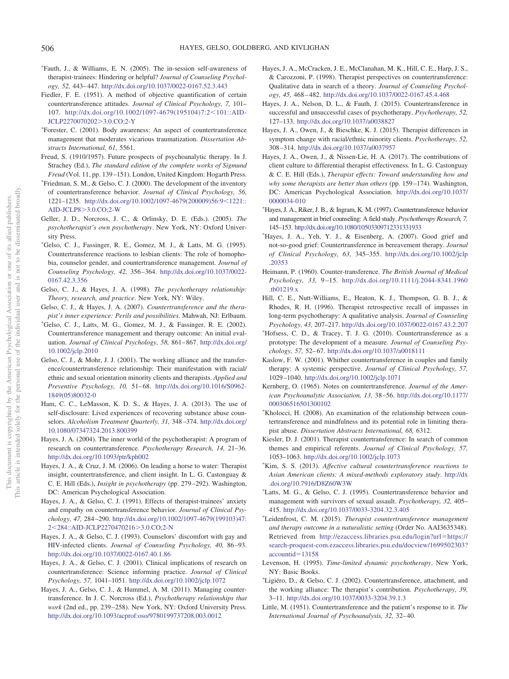- -Fauth, J., & Williams, E. N. (2005). The in-session self-awareness of therapist-trainees: Hindering or helpful? *Journal of Counseling Psychology, 52,* 443– 447. <http://dx.doi.org/10.1037/0022-0167.52.3.443>
- <span id="page-10-0"></span>Fiedler, F. E. (1951). A method of objective quantification of certain countertransference attitudes. *Journal of Clinical Psychology, 7,* 101– 107. [http://dx.doi.org/10.1002/1097-4679\(195104\)7:2](http://dx.doi.org/10.1002/1097-4679%28195104%297:2%3C101::AID-JCLP2270070202%3E3.0.CO;2-Y)<101::AID-[JCLP2270070202](http://dx.doi.org/10.1002/1097-4679%28195104%297:2%3C101::AID-JCLP2270070202%3E3.0.CO;2-Y)3.0.CO;2-Y
- Forester, C. (2001). Body awareness: An aspect of countertransference management that moderates vicarious traumatization. *Dissertation Abstracts International, 61,* 5561.
- <span id="page-10-3"></span>Freud, S. (1910/1957). Future prospects of psychoanalytic therapy. In J. Strachey (Ed.), *The standard edition of the complete works of Sigmund Freud* (Vol. 11, pp. 139 –151). London, United Kingdom: Hogarth Press.
- <span id="page-10-15"></span>- Friedman, S. M., & Gelso, C. J. (2000). The development of the inventory of countertransference behavior. *Journal of Clinical Psychology, 56,* 1221-1235. [http://dx.doi.org/10.1002/1097-4679\(200009\)56:9](http://dx.doi.org/10.1002/1097-4679%28200009%2956:9%3C1221::AID-JCLP8%3E3.0.CO;2-W)<1221:: AID-JCLP8>[3.0.CO;2-W](http://dx.doi.org/10.1002/1097-4679%28200009%2956:9%3C1221::AID-JCLP8%3E3.0.CO;2-W)
- <span id="page-10-26"></span>Geller, J. D., Norcross, J. C., & Orlinsky, D. E. (Eds.). (2005). *The psychotherapist's own psychotherapy*. New York, NY: Oxford University Press.
- <span id="page-10-11"></span>- Gelso, C. J., Fassinger, R. E., Gomez, M. J., & Latts, M. G. (1995). Countertransference reactions to lesbian clients: The role of homophobia, counselor gender, and countertransference management. *Journal of Counseling Psychology, 42,* 356 –364. [http://dx.doi.org/10.1037/0022-](http://dx.doi.org/10.1037/0022-0167.42.3.356) [0167.42.3.356](http://dx.doi.org/10.1037/0022-0167.42.3.356)
- <span id="page-10-8"></span>Gelso, C. J., & Hayes, J. A. (1998). *The psychotherapy relationship: Theory, research, and practice*. New York, NY: Wiley.
- <span id="page-10-9"></span>Gelso, C. J., & Hayes, J. A. (2007). *Countertransference and the therapist's inner experience: Perils and possibilities*. Mahwah, NJ: Erlbaum.
- Gelso, C. J., Latts, M. G., Gomez, M. J., & Fassinger, R. E. (2002). Countertransference management and therapy outcome: An initial evaluation. *Journal of Clinical Psychology, 58,* 861– 867. [http://dx.doi.org/](http://dx.doi.org/10.1002/jclp.2010) [10.1002/jclp.2010](http://dx.doi.org/10.1002/jclp.2010)
- <span id="page-10-25"></span>Gelso, C. J., & Mohr, J. J. (2001). The working alliance and the transference/countertransference relationship: Their manifestation with racial/ ethnic and sexual orientation minority clients and therapists. *Applied and Preventive Psychology, 10,* 51– 68. [http://dx.doi.org/10.1016/S0962-](http://dx.doi.org/10.1016/S0962-1849%2805%2980032-0) [1849\(05\)80032-0](http://dx.doi.org/10.1016/S0962-1849%2805%2980032-0)
- <span id="page-10-18"></span>Ham, C. C., LeMasson, K. D. S., & Hayes, J. A. (2013). The use of self-disclosure: Lived experiences of recovering substance abuse counselors. *Alcoholism Treatment Quarterly, 31,* 348 –374. [http://dx.doi.org/](http://dx.doi.org/10.1080/07347324.2013.800399) [10.1080/07347324.2013.800399](http://dx.doi.org/10.1080/07347324.2013.800399)
- <span id="page-10-2"></span>Hayes, J. A. (2004). The inner world of the psychotherapist: A program of research on countertransference. *Psychotherapy Research, 14,* 21–36. <http://dx.doi.org/10.1093/ptr/kph002>
- <span id="page-10-17"></span>Hayes, J. A., & Cruz, J. M. (2006). On leading a horse to water: Therapist insight, countertransference, and client insight. In L. G. Castonguay & C. E. Hill (Eds.), *Insight in psychotherapy* (pp. 279 –292). Washington, DC: American Psychological Association.
- <span id="page-10-19"></span>Hayes, J. A., & Gelso, C. J. (1991). Effects of therapist-trainees' anxiety and empathy on countertransference behavior. *Journal of Clinical Psychology, 47,* 284 –290. [http://dx.doi.org/10.1002/1097-4679\(199103\)47:](http://dx.doi.org/10.1002/1097-4679%28199103%2947:2%3C284::AID-JCLP2270470216%3E3.0.CO;2-N) 2<[284::AID-JCLP2270470216](http://dx.doi.org/10.1002/1097-4679%28199103%2947:2%3C284::AID-JCLP2270470216%3E3.0.CO;2-N)>3.0.CO;2-N
- <span id="page-10-13"></span>Hayes, J. A., & Gelso, C. J. (1993). Counselors' discomfort with gay and HIV-infected clients. *Journal of Counseling Psychology, 40,* 86 –93. <http://dx.doi.org/10.1037/0022-0167.40.1.86>
- <span id="page-10-14"></span>Hayes, J. A., & Gelso, C. J. (2001). Clinical implications of research on countertransference: Science informing practice. *Journal of Clinical Psychology, 57,* 1041–1051. <http://dx.doi.org/10.1002/jclp.1072>
- <span id="page-10-16"></span>Hayes, J. A., Gelso, C. J., & Hummel, A. M. (2011). Managing countertransference. In J. C. Norcross (Ed.), *Psychotherapy relationships that work* (2nd ed., pp. 239 –258). New York, NY: Oxford University Press. <http://dx.doi.org/10.1093/acprof:oso/9780199737208.003.0012>
- <span id="page-10-12"></span>Hayes, J. A., McCracken, J. E., McClanahan, M. K., Hill, C. E., Harp, J. S., & Carozzoni, P. (1998). Therapist perspectives on countertransference: Qualitative data in search of a theory. *Journal of Counseling Psychology, 45,* 468 – 482. <http://dx.doi.org/10.1037/0022-0167.45.4.468>
- <span id="page-10-10"></span>Hayes, J. A., Nelson, D. L., & Fauth, J. (2015). Countertransference in successful and unsuccessful cases of psychotherapy. *Psychotherapy, 52,* 127–133. <http://dx.doi.org/10.1037/a0038827>
- <span id="page-10-23"></span>Hayes, J. A., Owen, J., & Bieschke, K. J. (2015). Therapist differences in symptom change with racial/ethnic minority clients. *Psychotherapy, 52,* 308 –314. <http://dx.doi.org/10.1037/a0037957>
- <span id="page-10-24"></span>Hayes, J. A., Owen, J., & Nissen-Lie, H. A. (2017). The contributions of client culture to differential therapist effectiveness. In L. G. Castonguay & C. E. Hill (Eds.), *Therapist effects: Toward understanding how and why some therapists are better than others* (pp. 159 –174). Washington, DC: American Psychological Association. [http://dx.doi.org/10.1037/](http://dx.doi.org/10.1037/0000034-010) [0000034-010](http://dx.doi.org/10.1037/0000034-010)
- <span id="page-10-21"></span>- Hayes, J. A., Riker, J. B., & Ingram, K. M. (1997). Countertransference behavior and management in brief counseling: A field study. *Psychotherapy Research, 7,* 145–153. <http://dx.doi.org/10.1080/10503309712331331933>
- Hayes, J. A., Yeh, Y. J., & Eisenberg, A. (2007). Good grief and not-so-good grief: Countertransference in bereavement therapy. *Journal of Clinical Psychology, 63,* 345–355. [http://dx.doi.org/10.1002/jclp](http://dx.doi.org/10.1002/jclp.20353) [.20353](http://dx.doi.org/10.1002/jclp.20353)
- <span id="page-10-4"></span>Heimann, P. (1960). Counter-transference. *The British Journal of Medical Psychology, 33,* 9 –15. [http://dx.doi.org/10.1111/j.2044-8341.1960](http://dx.doi.org/10.1111/j.2044-8341.1960.tb01219.x) [.tb01219.x](http://dx.doi.org/10.1111/j.2044-8341.1960.tb01219.x)
- <span id="page-10-27"></span>Hill, C. E., Nutt-Williams, E., Heaton, K. J., Thompson, G. B. J., & Rhodes, R. H. (1996). Therapist retrospective recall of impasses in long-term psychotherapy: A qualitative analysis. *Journal of Counseling Psychology, 43,* 207–217. <http://dx.doi.org/10.1037/0022-0167.43.2.207>
- Hofsess, C. D., & Tracey, T. J. G. (2010). Countertransference as a prototype: The development of a measure. *Journal of Counseling Psychology, 57,* 52– 67. <http://dx.doi.org/10.1037/a0018111>
- <span id="page-10-1"></span>Kaslow, F. W. (2001). Whither countertransference in couples and family therapy: A systemic perspective. *Journal of Clinical Psychology, 57,* 1029 –1040. <http://dx.doi.org/10.1002/jclp.1071>
- <span id="page-10-5"></span>Kernberg, O. (1965). Notes on countertransference. *Journal of the American Psychoanalytic Association, 13,* 38 –56. [http://dx.doi.org/10.1177/](http://dx.doi.org/10.1177/000306516501300102) [000306516501300102](http://dx.doi.org/10.1177/000306516501300102)
- Kholocci, H. (2008). An examination of the relationship between countertransference and mindfulness and its potential role in limiting therapist abuse. *Dissertation Abstracts International, 68,* 6312.
- <span id="page-10-20"></span>Kiesler, D. J. (2001). Therapist countertransference: In search of common themes and empirical referents. *Journal of Clinical Psychology, 57,* 1053–1063. <http://dx.doi.org/10.1002/jclp.1073>
- Kim, S. S. (2013). *Affective cultural countertransference reactions to Asian American clients: A mixed-methods exploratory study*. [http://dx](http://dx.doi.org/10.7916/D8Z60W3W) [.doi.org/10.7916/D8Z60W3W](http://dx.doi.org/10.7916/D8Z60W3W)
- <span id="page-10-22"></span>- Latts, M. G., & Gelso, C. J. (1995). Countertransference behavior and management with survivors of sexual assault. *Psychotherapy, 32,* 405– 415. <http://dx.doi.org/10.1037/0033-3204.32.3.405>
- Leidenfrost, C. M. (2015). *Therapist countertransference management and therapy outcome in a naturalistic setting* (Order No. AAI3635348). Retrieved from [http://ezaccess.libraries.psu.edu/login?url](http://ezaccess.libraries.psu.edu/login?url=https://search-proquest-com.ezaccess.libraries.psu.edu/docview/1699502303?accountid=13158)=https:// [search-proquest-com.ezaccess.libraries.psu.edu/docview/1699502303?](http://ezaccess.libraries.psu.edu/login?url=https://search-proquest-com.ezaccess.libraries.psu.edu/docview/1699502303?accountid=13158) [accountid](http://ezaccess.libraries.psu.edu/login?url=https://search-proquest-com.ezaccess.libraries.psu.edu/docview/1699502303?accountid=13158)-13158
- <span id="page-10-7"></span>Levenson, H. (1995). *Time-limited dynamic psychotherapy*. New York, NY: Basic Books.
- Ligiéro, D., & Gelso, C. J. (2002). Countertransference, attachment, and the working alliance: The therapist's contribution. *Psychotherapy, 39,* 3–11. <http://dx.doi.org/10.1037/0033-3204.39.1.3>
- <span id="page-10-6"></span>Little, M. (1951). Countertransference and the patient's response to it. *The International Journal of Psychoanalysis, 32,* 32– 40.